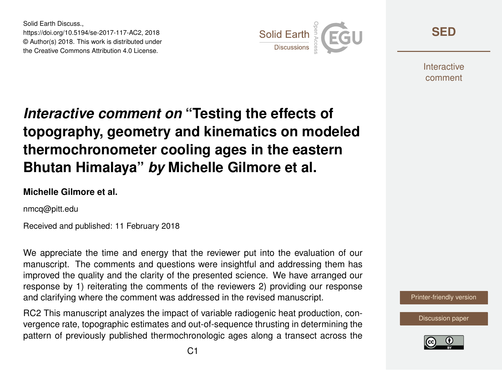Solid Earth Discuss., https://doi.org/10.5194/se-2017-117-AC2, 2018 © Author(s) 2018. This work is distributed under the Creative Commons Attribution 4.0 License.



**[SED](https://www.solid-earth-discuss.net/)**

**Interactive** comment

# *Interactive comment on* **"Testing the effects of topography, geometry and kinematics on modeled thermochronometer cooling ages in the eastern Bhutan Himalaya"** *by* **Michelle Gilmore et al.**

#### **Michelle Gilmore et al.**

nmcq@pitt.edu

Received and published: 11 February 2018

We appreciate the time and energy that the reviewer put into the evaluation of our manuscript. The comments and questions were insightful and addressing them has improved the quality and the clarity of the presented science. We have arranged our response by 1) reiterating the comments of the reviewers 2) providing our response and clarifying where the comment was addressed in the revised manuscript.

RC2 This manuscript analyzes the impact of variable radiogenic heat production, convergence rate, topographic estimates and out-of-sequence thrusting in determining the pattern of previously published thermochronologic ages along a transect across the



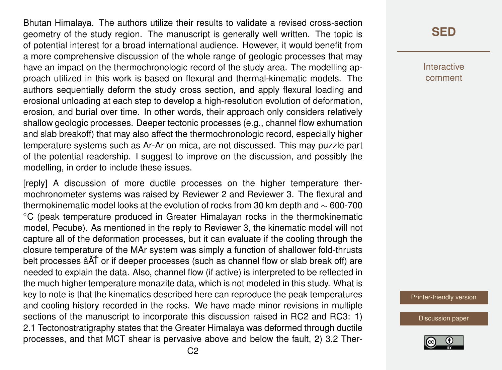Bhutan Himalaya. The authors utilize their results to validate a revised cross-section geometry of the study region. The manuscript is generally well written. The topic is of potential interest for a broad international audience. However, it would benefit from a more comprehensive discussion of the whole range of geologic processes that may have an impact on the thermochronologic record of the study area. The modelling approach utilized in this work is based on flexural and thermal-kinematic models. The authors sequentially deform the study cross section, and apply flexural loading and erosional unloading at each step to develop a high-resolution evolution of deformation, erosion, and burial over time. In other words, their approach only considers relatively shallow geologic processes. Deeper tectonic processes (e.g., channel flow exhumation and slab breakoff) that may also affect the thermochronologic record, especially higher temperature systems such as Ar-Ar on mica, are not discussed. This may puzzle part of the potential readership. I suggest to improve on the discussion, and possibly the modelling, in order to include these issues.

[reply] A discussion of more ductile processes on the higher temperature thermochronometer systems was raised by Reviewer 2 and Reviewer 3. The flexural and thermokinematic model looks at the evolution of rocks from 30 km depth and  $\sim$  600-700 ◦C (peak temperature produced in Greater Himalayan rocks in the thermokinematic model, Pecube). As mentioned in the reply to Reviewer 3, the kinematic model will not capture all of the deformation processes, but it can evaluate if the cooling through the closure temperature of the MAr system was simply a function of shallower fold-thrusts belt processes â $\tilde{A}$ T or if deeper processes (such as channel flow or slab break off) are needed to explain the data. Also, channel flow (if active) is interpreted to be reflected in the much higher temperature monazite data, which is not modeled in this study. What is key to note is that the kinematics described here can reproduce the peak temperatures and cooling history recorded in the rocks. We have made minor revisions in multiple sections of the manuscript to incorporate this discussion raised in RC2 and RC3: 1) 2.1 Tectonostratigraphy states that the Greater Himalaya was deformed through ductile processes, and that MCT shear is pervasive above and below the fault, 2) 3.2 Ther-

### **[SED](https://www.solid-earth-discuss.net/)**

Interactive comment

[Printer-friendly version](https://www.solid-earth-discuss.net/se-2017-117/se-2017-117-AC2-print.pdf)

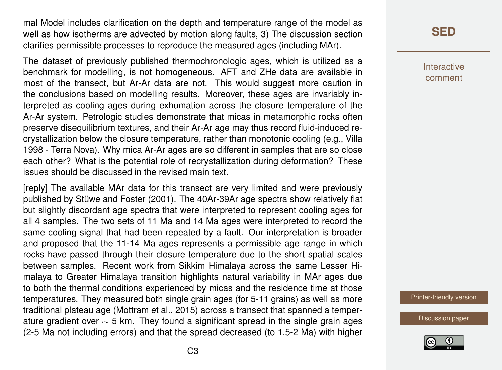mal Model includes clarification on the depth and temperature range of the model as well as how isotherms are advected by motion along faults, 3) The discussion section clarifies permissible processes to reproduce the measured ages (including MAr).

The dataset of previously published thermochronologic ages, which is utilized as a benchmark for modelling, is not homogeneous. AFT and ZHe data are available in most of the transect, but Ar-Ar data are not. This would suggest more caution in the conclusions based on modelling results. Moreover, these ages are invariably interpreted as cooling ages during exhumation across the closure temperature of the Ar-Ar system. Petrologic studies demonstrate that micas in metamorphic rocks often preserve disequilibrium textures, and their Ar-Ar age may thus record fluid-induced recrystallization below the closure temperature, rather than monotonic cooling (e.g., Villa 1998 - Terra Nova). Why mica Ar-Ar ages are so different in samples that are so close each other? What is the potential role of recrystallization during deformation? These issues should be discussed in the revised main text.

[reply] The available MAr data for this transect are very limited and were previously published by Stüwe and Foster (2001). The 40Ar-39Ar age spectra show relatively flat but slightly discordant age spectra that were interpreted to represent cooling ages for all 4 samples. The two sets of 11 Ma and 14 Ma ages were interpreted to record the same cooling signal that had been repeated by a fault. Our interpretation is broader and proposed that the 11-14 Ma ages represents a permissible age range in which rocks have passed through their closure temperature due to the short spatial scales between samples. Recent work from Sikkim Himalaya across the same Lesser Himalaya to Greater Himalaya transition highlights natural variability in MAr ages due to both the thermal conditions experienced by micas and the residence time at those temperatures. They measured both single grain ages (for 5-11 grains) as well as more traditional plateau age (Mottram et al., 2015) across a transect that spanned a temperature gradient over ∼ 5 km. They found a significant spread in the single grain ages (2-5 Ma not including errors) and that the spread decreased (to 1.5-2 Ma) with higher

## **[SED](https://www.solid-earth-discuss.net/)**

Interactive comment

[Printer-friendly version](https://www.solid-earth-discuss.net/se-2017-117/se-2017-117-AC2-print.pdf)

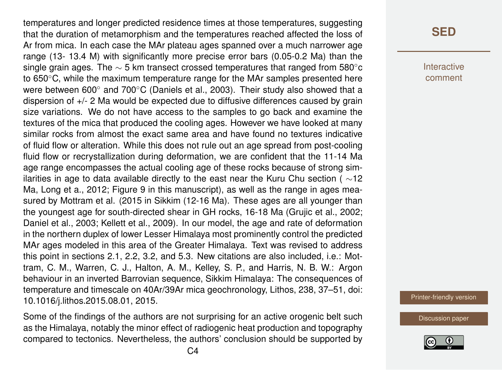temperatures and longer predicted residence times at those temperatures, suggesting that the duration of metamorphism and the temperatures reached affected the loss of Ar from mica. In each case the MAr plateau ages spanned over a much narrower age range (13- 13.4 M) with significantly more precise error bars (0.05-0.2 Ma) than the single grain ages. The  $\sim$  5 km transect crossed temperatures that ranged from 580 $^{\circ}$ c to 650 °C, while the maximum temperature range for the MAr samples presented here were between 600° and 700°C (Daniels et al., 2003). Their study also showed that a dispersion of +/- 2 Ma would be expected due to diffusive differences caused by grain size variations. We do not have access to the samples to go back and examine the textures of the mica that produced the cooling ages. However we have looked at many similar rocks from almost the exact same area and have found no textures indicative of fluid flow or alteration. While this does not rule out an age spread from post-cooling fluid flow or recrystallization during deformation, we are confident that the 11-14 Ma age range encompasses the actual cooling age of these rocks because of strong similarities in age to data available directly to the east near the Kuru Chu section ( $\sim$ 12 Ma, Long et a., 2012; Figure 9 in this manuscript), as well as the range in ages measured by Mottram et al. (2015 in Sikkim (12-16 Ma). These ages are all younger than the youngest age for south-directed shear in GH rocks, 16-18 Ma (Grujic et al., 2002; Daniel et al., 2003; Kellett et al., 2009). In our model, the age and rate of deformation in the northern duplex of lower Lesser Himalaya most prominently control the predicted MAr ages modeled in this area of the Greater Himalaya. Text was revised to address this point in sections 2.1, 2.2, 3.2, and 5.3. New citations are also included, i.e.: Mottram, C. M., Warren, C. J., Halton, A. M., Kelley, S. P., and Harris, N. B. W.: Argon behaviour in an inverted Barrovian sequence, Sikkim Himalaya: The consequences of temperature and timescale on 40Ar/39Ar mica geochronology, Lithos, 238, 37–51, doi: 10.1016/j.lithos.2015.08.01, 2015.

Some of the findings of the authors are not surprising for an active orogenic belt such as the Himalaya, notably the minor effect of radiogenic heat production and topography compared to tectonics. Nevertheless, the authors' conclusion should be supported by Interactive comment

[Printer-friendly version](https://www.solid-earth-discuss.net/se-2017-117/se-2017-117-AC2-print.pdf)

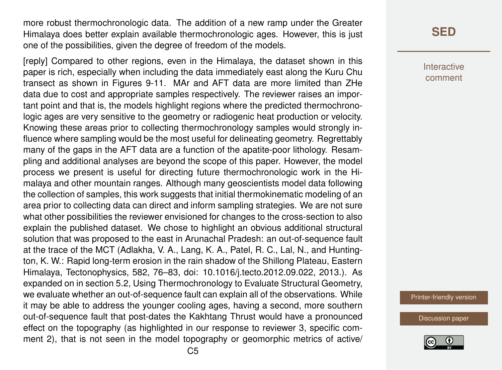more robust thermochronologic data. The addition of a new ramp under the Greater Himalaya does better explain available thermochronologic ages. However, this is just one of the possibilities, given the degree of freedom of the models.

[reply] Compared to other regions, even in the Himalaya, the dataset shown in this paper is rich, especially when including the data immediately east along the Kuru Chu transect as shown in Figures 9-11. MAr and AFT data are more limited than ZHe data due to cost and appropriate samples respectively. The reviewer raises an important point and that is, the models highlight regions where the predicted thermochronologic ages are very sensitive to the geometry or radiogenic heat production or velocity. Knowing these areas prior to collecting thermochronology samples would strongly influence where sampling would be the most useful for delineating geometry. Regrettably many of the gaps in the AFT data are a function of the apatite-poor lithology. Resampling and additional analyses are beyond the scope of this paper. However, the model process we present is useful for directing future thermochronologic work in the Himalaya and other mountain ranges. Although many geoscientists model data following the collection of samples, this work suggests that initial thermokinematic modeling of an area prior to collecting data can direct and inform sampling strategies. We are not sure what other possibilities the reviewer envisioned for changes to the cross-section to also explain the published dataset. We chose to highlight an obvious additional structural solution that was proposed to the east in Arunachal Pradesh: an out-of-sequence fault at the trace of the MCT (Adlakha, V. A., Lang, K. A., Patel, R. C., Lal, N., and Huntington, K. W.: Rapid long-term erosion in the rain shadow of the Shillong Plateau, Eastern Himalaya, Tectonophysics, 582, 76–83, doi: 10.1016/j.tecto.2012.09.022, 2013.). As expanded on in section 5.2, Using Thermochronology to Evaluate Structural Geometry, we evaluate whether an out-of-sequence fault can explain all of the observations. While it may be able to address the younger cooling ages, having a second, more southern out-of-sequence fault that post-dates the Kakhtang Thrust would have a pronounced effect on the topography (as highlighted in our response to reviewer 3, specific comment 2), that is not seen in the model topography or geomorphic metrics of active/

### **[SED](https://www.solid-earth-discuss.net/)**

Interactive comment

[Printer-friendly version](https://www.solid-earth-discuss.net/se-2017-117/se-2017-117-AC2-print.pdf)

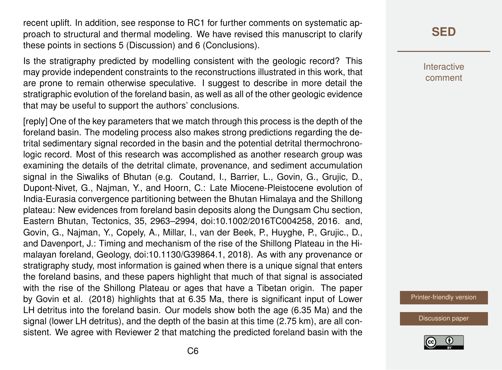recent uplift. In addition, see response to RC1 for further comments on systematic approach to structural and thermal modeling. We have revised this manuscript to clarify these points in sections 5 (Discussion) and 6 (Conclusions).

Is the stratigraphy predicted by modelling consistent with the geologic record? This may provide independent constraints to the reconstructions illustrated in this work, that are prone to remain otherwise speculative. I suggest to describe in more detail the stratigraphic evolution of the foreland basin, as well as all of the other geologic evidence that may be useful to support the authors' conclusions.

[reply] One of the key parameters that we match through this process is the depth of the foreland basin. The modeling process also makes strong predictions regarding the detrital sedimentary signal recorded in the basin and the potential detrital thermochronologic record. Most of this research was accomplished as another research group was examining the details of the detrital climate, provenance, and sediment accumulation signal in the Siwaliks of Bhutan (e.g. Coutand, I., Barrier, L., Govin, G., Grujic, D., Dupont-Nivet, G., Najman, Y., and Hoorn, C.: Late Miocene-Pleistocene evolution of India-Eurasia convergence partitioning between the Bhutan Himalaya and the Shillong plateau: New evidences from foreland basin deposits along the Dungsam Chu section, Eastern Bhutan, Tectonics, 35, 2963–2994, doi:10.1002/2016TC004258, 2016. and, Govin, G., Najman, Y., Copely, A., Millar, I., van der Beek, P., Huyghe, P., Grujic., D., and Davenport, J.: Timing and mechanism of the rise of the Shillong Plateau in the Himalayan foreland, Geology, doi:10.1130/G39864.1, 2018). As with any provenance or stratigraphy study, most information is gained when there is a unique signal that enters the foreland basins, and these papers highlight that much of that signal is associated with the rise of the Shillong Plateau or ages that have a Tibetan origin. The paper by Govin et al. (2018) highlights that at 6.35 Ma, there is significant input of Lower LH detritus into the foreland basin. Our models show both the age (6.35 Ma) and the signal (lower LH detritus), and the depth of the basin at this time (2.75 km), are all consistent. We agree with Reviewer 2 that matching the predicted foreland basin with the

**[SED](https://www.solid-earth-discuss.net/)**

Interactive comment

[Printer-friendly version](https://www.solid-earth-discuss.net/se-2017-117/se-2017-117-AC2-print.pdf)